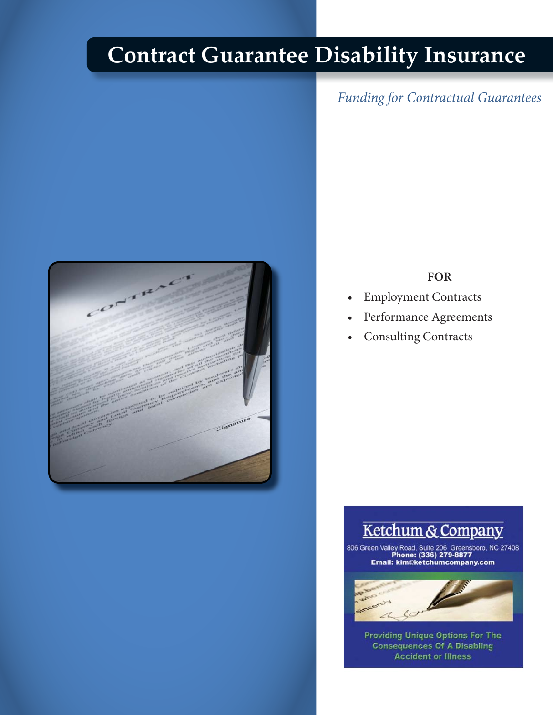# **Contract Guarantee Disability Insurance**





#### **FOR**

- 
- Employment Contracts<br>• Performance Agreements • Performance Agreements
- $\bullet$ • Consulting Contracts

## Ketchum & Company

806 Green Valley Road, Suite 206 Greensboro, NC 27408<br>Phone: (336) 279-8877 Email: kim@ketchumcompany.com



**Accident or Illness Providing Unique Options For The<br>Consequences Of A Disabling**